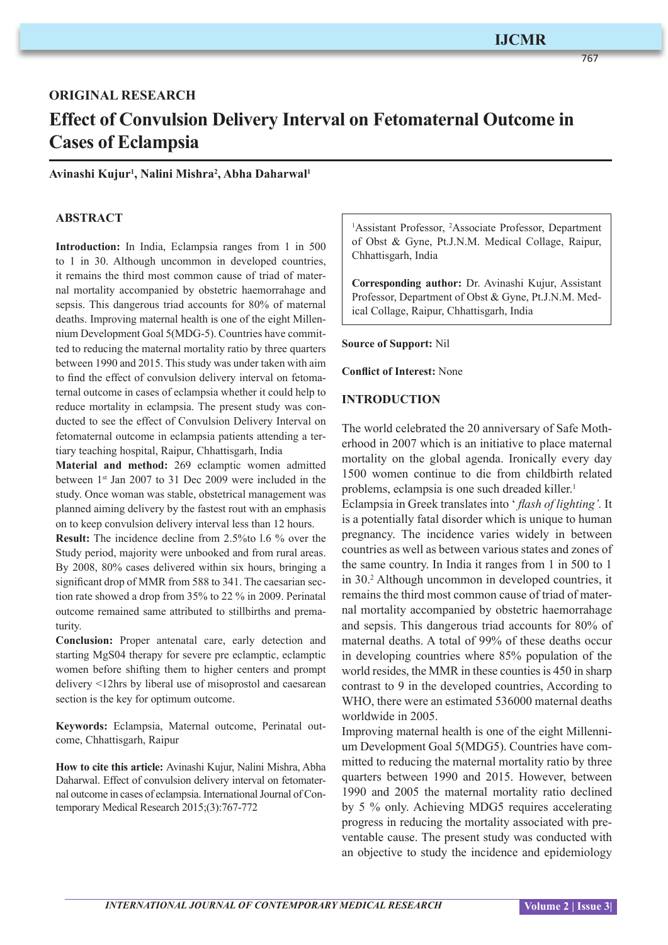767

# **ORIGINAL RESEARCH Effect of Convulsion Delivery Interval on Fetomaternal Outcome in Cases of Eclampsia**

#### **Avinashi Kujur1 , Nalini Mishra2 , Abha Daharwal1**

### **ABSTRACT**

**Introduction:** In India, Eclampsia ranges from 1 in 500 to 1 in 30. Although uncommon in developed countries, it remains the third most common cause of triad of maternal mortality accompanied by obstetric haemorrahage and sepsis. This dangerous triad accounts for 80% of maternal deaths. Improving maternal health is one of the eight Millennium Development Goal 5(MDG-5). Countries have committed to reducing the maternal mortality ratio by three quarters between 1990 and 2015. This study was under taken with aim to find the effect of convulsion delivery interval on fetomaternal outcome in cases of eclampsia whether it could help to reduce mortality in eclampsia. The present study was conducted to see the effect of Convulsion Delivery Interval on fetomaternal outcome in eclampsia patients attending a tertiary teaching hospital, Raipur, Chhattisgarh, India

**Material and method:** 269 eclamptic women admitted between 1st Jan 2007 to 31 Dec 2009 were included in the study. Once woman was stable, obstetrical management was planned aiming delivery by the fastest rout with an emphasis on to keep convulsion delivery interval less than 12 hours.

**Result:** The incidence decline from 2.5%to 1.6 % over the Study period, majority were unbooked and from rural areas. By 2008, 80% cases delivered within six hours, bringing a significant drop of MMR from 588 to 341. The caesarian section rate showed a drop from 35% to 22 % in 2009. Perinatal outcome remained same attributed to stillbirths and prematurity.

**Conclusion:** Proper antenatal care, early detection and starting MgS04 therapy for severe pre eclamptic, eclamptic women before shifting them to higher centers and prompt delivery <12hrs by liberal use of misoprostol and caesarean section is the key for optimum outcome.

**Keywords:** Eclampsia, Maternal outcome, Perinatal outcome, Chhattisgarh, Raipur

**How to cite this article:** Avinashi Kujur, Nalini Mishra, Abha Daharwal. Effect of convulsion delivery interval on fetomaternal outcome in cases of eclampsia. International Journal of Contemporary Medical Research 2015;(3):767-772

<sup>1</sup>Assistant Professor, <sup>2</sup>Associate Professor, Department of Obst & Gyne, Pt.J.N.M. Medical Collage, Raipur, Chhattisgarh, India

**Corresponding author:** Dr. Avinashi Kujur, Assistant Professor, Department of Obst & Gyne, Pt.J.N.M. Medical Collage, Raipur, Chhattisgarh, India

**Source of Support:** Nil

**Conflict of Interest:** None

#### **INTRODUCTION**

The world celebrated the 20 anniversary of Safe Motherhood in 2007 which is an initiative to place maternal mortality on the global agenda. Ironically every day 1500 women continue to die from childbirth related problems, eclampsia is one such dreaded killer.<sup>1</sup>

Eclampsia in Greek translates into ' *flash of lighting'.* It is a potentially fatal disorder which is unique to human pregnancy. The incidence varies widely in between countries as well as between various states and zones of the same country. In India it ranges from 1 in 500 to 1 in 30.2 Although uncommon in developed countries, it remains the third most common cause of triad of maternal mortality accompanied by obstetric haemorrahage and sepsis. This dangerous triad accounts for 80% of maternal deaths. A total of 99% of these deaths occur in developing countries where 85% population of the world resides, the MMR in these counties is 450 in sharp contrast to 9 in the developed countries, According to WHO, there were an estimated 536000 maternal deaths worldwide in 2005.

Improving maternal health is one of the eight Millennium Development Goal 5(MDG5). Countries have committed to reducing the maternal mortality ratio by three quarters between 1990 and 2015. However, between 1990 and 2005 the maternal mortality ratio declined by 5 % only. Achieving MDG5 requires accelerating progress in reducing the mortality associated with preventable cause. The present study was conducted with an objective to study the incidence and epidemiology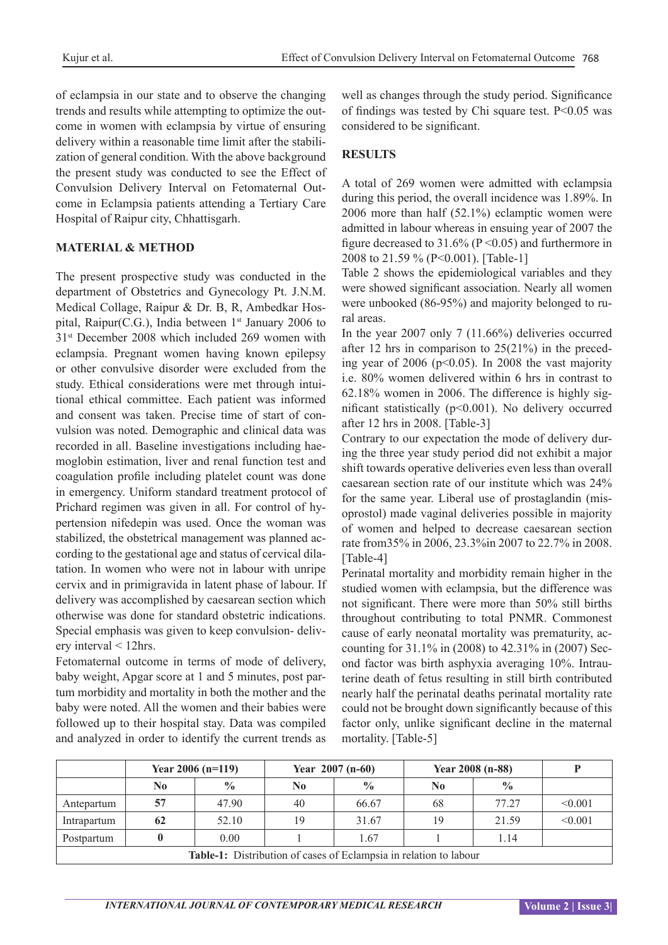of eclampsia in our state and to observe the changing trends and results while attempting to optimize the outcome in women with eclampsia by virtue of ensuring delivery within a reasonable time limit after the stabilization of general condition. With the above background the present study was conducted to see the Effect of Convulsion Delivery Interval on Fetomaternal Outcome in Eclampsia patients attending a Tertiary Care Hospital of Raipur city, Chhattisgarh.

## **MATERIAL & METHOD**

The present prospective study was conducted in the department of Obstetrics and Gynecology Pt. J.N.M. Medical Collage, Raipur & Dr. B, R, Ambedkar Hospital, Raipur(C.G.), India between  $1<sup>st</sup>$  January 2006 to 31<sup>st</sup> December 2008 which included 269 women with eclampsia. Pregnant women having known epilepsy or other convulsive disorder were excluded from the study. Ethical considerations were met through intuitional ethical committee. Each patient was informed and consent was taken. Precise time of start of convulsion was noted. Demographic and clinical data was recorded in all. Baseline investigations including haemoglobin estimation, liver and renal function test and coagulation profile including platelet count was done in emergency. Uniform standard treatment protocol of Prichard regimen was given in all. For control of hypertension nifedepin was used. Once the woman was stabilized, the obstetrical management was planned according to the gestational age and status of cervical dilatation. In women who were not in labour with unripe cervix and in primigravida in latent phase of labour. If delivery was accomplished by caesarean section which otherwise was done for standard obstetric indications. Special emphasis was given to keep convulsion- delivery interval < 12hrs.

Fetomaternal outcome in terms of mode of delivery, baby weight, Apgar score at 1 and 5 minutes, post partum morbidity and mortality in both the mother and the baby were noted. All the women and their babies were followed up to their hospital stay. Data was compiled and analyzed in order to identify the current trends as

well as changes through the study period. Significance of findings was tested by Chi square test. P<0.05 was considered to be significant.

#### **RESULTS**

A total of 269 women were admitted with eclampsia during this period, the overall incidence was 1.89%. In 2006 more than half (52.1%) eclamptic women were admitted in labour whereas in ensuing year of 2007 the figure decreased to  $31.6\%$  (P < 0.05) and furthermore in 2008 to 21.59 % (P<0.001). [Table-1]

Table 2 shows the epidemiological variables and they were showed significant association. Nearly all women were unbooked (86-95%) and majority belonged to rural areas.

In the year 2007 only 7 (11.66%) deliveries occurred after 12 hrs in comparison to 25(21%) in the preceding year of  $2006$  ( $p<0.05$ ). In 2008 the vast majority i.e. 80% women delivered within 6 hrs in contrast to 62.18% women in 2006. The difference is highly significant statistically (p<0.001). No delivery occurred after 12 hrs in 2008. [Table-3]

Contrary to our expectation the mode of delivery during the three year study period did not exhibit a major shift towards operative deliveries even less than overall caesarean section rate of our institute which was 24% for the same year. Liberal use of prostaglandin (misoprostol) made vaginal deliveries possible in majority of women and helped to decrease caesarean section rate from35% in 2006, 23.3%in 2007 to 22.7% in 2008. [Table-4]

Perinatal mortality and morbidity remain higher in the studied women with eclampsia, but the difference was not significant. There were more than 50% still births throughout contributing to total PNMR. Commonest cause of early neonatal mortality was prematurity, accounting for 31.1% in (2008) to 42.31% in (2007) Second factor was birth asphyxia averaging 10%. Intrauterine death of fetus resulting in still birth contributed nearly half the perinatal deaths perinatal mortality rate could not be brought down significantly because of this factor only, unlike significant decline in the maternal mortality. [Table-5]

|                                                                   | Year 2006 ( $n=119$ ) |               |                | Year $2007$ (n-60) | Year 2008 (n-88) |               |         |  |
|-------------------------------------------------------------------|-----------------------|---------------|----------------|--------------------|------------------|---------------|---------|--|
|                                                                   | No                    | $\frac{0}{0}$ | N <sub>0</sub> | $\frac{0}{0}$      | No               | $\frac{0}{0}$ |         |  |
| Antepartum                                                        | 57                    | 47.90         | 40             | 66.67              | 68               | 77 27         | < 0.001 |  |
| Intrapartum                                                       | 62                    | 52.10         | 19             | 31.67              | 19               | 21.59         | < 0.001 |  |
| Postpartum                                                        |                       | 0.00          |                | 1.67               |                  | 1.14          |         |  |
| Table-1: Distribution of cases of Eclampsia in relation to labour |                       |               |                |                    |                  |               |         |  |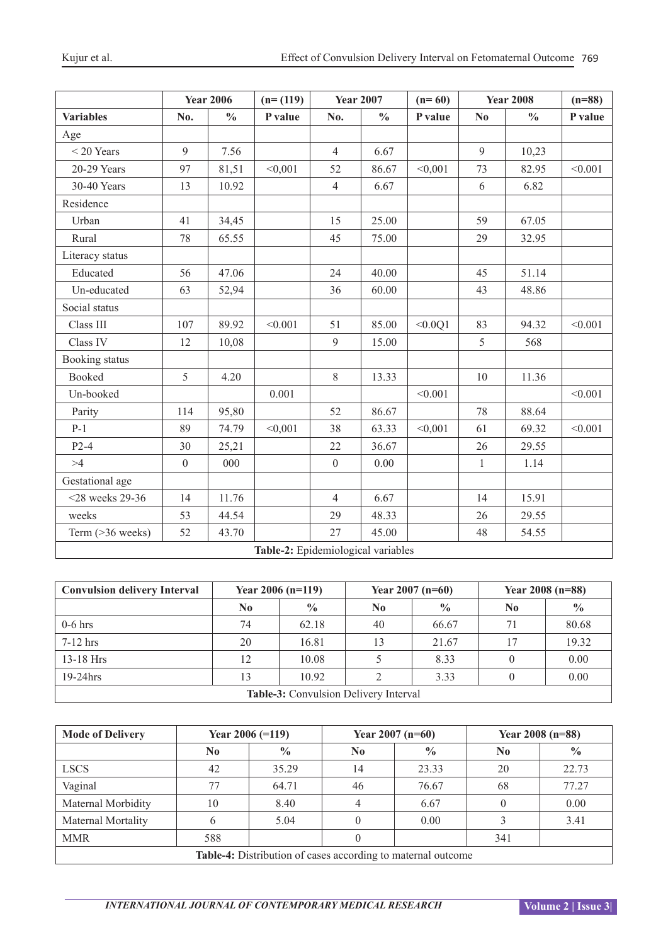|                                    |                  | <b>Year 2006</b> | $(n=(119))$ |                  | <b>Year 2007</b> | $(n=60)$ |                        | <b>Year 2008</b> |         |
|------------------------------------|------------------|------------------|-------------|------------------|------------------|----------|------------------------|------------------|---------|
| <b>Variables</b>                   | No.              | $\frac{0}{0}$    | P value     | No.              | $\frac{0}{0}$    | P value  | $\mathbf{N}\mathbf{0}$ | $\frac{0}{0}$    | P value |
| Age                                |                  |                  |             |                  |                  |          |                        |                  |         |
| $<$ 20 Years                       | 9                | 7.56             |             | $\overline{4}$   | 6.67             |          | 9                      | 10,23            |         |
| 20-29 Years                        | 97               | 81,51            | < 0,001     | 52               | 86.67            | < 0,001  | 73                     | 82.95            | < 0.001 |
| 30-40 Years                        | 13               | 10.92            |             | $\overline{4}$   | 6.67             |          | 6                      | 6.82             |         |
| Residence                          |                  |                  |             |                  |                  |          |                        |                  |         |
| Urban                              | 41               | 34,45            |             | 15               | 25.00            |          | 59                     | 67.05            |         |
| Rural                              | 78               | 65.55            |             | 45               | 75.00            |          | 29                     | 32.95            |         |
| Literacy status                    |                  |                  |             |                  |                  |          |                        |                  |         |
| Educated                           | 56               | 47.06            |             | 24               | 40.00            |          | 45                     | 51.14            |         |
| Un-educated                        | 63               | 52,94            |             | 36               | 60.00            |          | 43                     | 48.86            |         |
| Social status                      |                  |                  |             |                  |                  |          |                        |                  |         |
| Class III                          | 107              | 89.92            | < 0.001     | 51               | 85.00            | < 0.0Q1  | 83                     | 94.32            | < 0.001 |
| Class IV                           | 12               | 10,08            |             | 9                | 15.00            |          | 5                      | 568              |         |
| Booking status                     |                  |                  |             |                  |                  |          |                        |                  |         |
| <b>Booked</b>                      | 5                | 4.20             |             | $8\,$            | 13.33            |          | 10                     | 11.36            |         |
| Un-booked                          |                  |                  | 0.001       |                  |                  | < 0.001  |                        |                  | < 0.001 |
| Parity                             | 114              | 95,80            |             | 52               | 86.67            |          | 78                     | 88.64            |         |
| $P-1$                              | 89               | 74.79            | < 0,001     | 38               | 63.33            | < 0,001  | 61                     | 69.32            | < 0.001 |
| $P2-4$                             | 30               | 25,21            |             | 22               | 36.67            |          | 26                     | 29.55            |         |
| >4                                 | $\boldsymbol{0}$ | 000              |             | $\boldsymbol{0}$ | $0.00\,$         |          | $\mathbf{1}$           | 1.14             |         |
| Gestational age                    |                  |                  |             |                  |                  |          |                        |                  |         |
| $<$ 28 weeks 29-36                 | 14               | 11.76            |             | $\overline{4}$   | 6.67             |          | 14                     | 15.91            |         |
| weeks                              | 53               | 44.54            |             | 29               | 48.33            |          | 26                     | 29.55            |         |
| Term (>36 weeks)                   | 52               | 43.70            |             | 27               | 45.00            |          | 48                     | 54.55            |         |
| Table-2: Epidemiological variables |                  |                  |             |                  |                  |          |                        |                  |         |

| Table-2: Epidemiological variables |  |  |
|------------------------------------|--|--|
|------------------------------------|--|--|

| <b>Convulsion delivery Interval</b>   | Year $2006$ (n=119) |               |    | Year $2007$ (n=60) | Year 2008 (n=88) |               |  |
|---------------------------------------|---------------------|---------------|----|--------------------|------------------|---------------|--|
|                                       | No                  | $\frac{0}{0}$ | No | $\frac{0}{0}$      | N0               | $\frac{0}{0}$ |  |
| $0-6$ hrs                             | 74                  | 62.18         | 40 | 66.67              | 71               | 80.68         |  |
| $7-12$ hrs                            | 20                  | 16.81         | 13 | 21.67              | 17               | 19.32         |  |
| $13-18$ Hrs                           | 12                  | 10.08         |    | 8.33               |                  | 0.00          |  |
| $19-24$ hrs                           | 13                  | 10.92         |    | 3.33               |                  | 0.00          |  |
| Table-3: Convulsion Delivery Interval |                     |               |    |                    |                  |               |  |

| <b>Mode of Delivery</b>                                      | Year $2006 (=119)$ |               |                  | Year $2007$ (n=60) | Year $2008$ (n=88) |               |  |
|--------------------------------------------------------------|--------------------|---------------|------------------|--------------------|--------------------|---------------|--|
|                                                              | N <sub>0</sub>     | $\frac{0}{0}$ | $\bf No$         | $\frac{0}{0}$      | N <sub>0</sub>     | $\frac{0}{0}$ |  |
| <b>LSCS</b>                                                  | 42                 | 35.29         | 14               | 23.33              | 20                 | 22.73         |  |
| Vaginal                                                      | 77                 | 64.71         | 46               | 76.67              | 68                 | 77.27         |  |
| Maternal Morbidity                                           | 10                 | 8.40          | 4                | 6.67               |                    | 0.00          |  |
| Maternal Mortality                                           |                    | 5.04          | 0                | 0.00               |                    | 3.41          |  |
| <b>MMR</b>                                                   | 588                |               | $\left( \right)$ |                    | 341                |               |  |
| Table-4: Distribution of cases according to maternal outcome |                    |               |                  |                    |                    |               |  |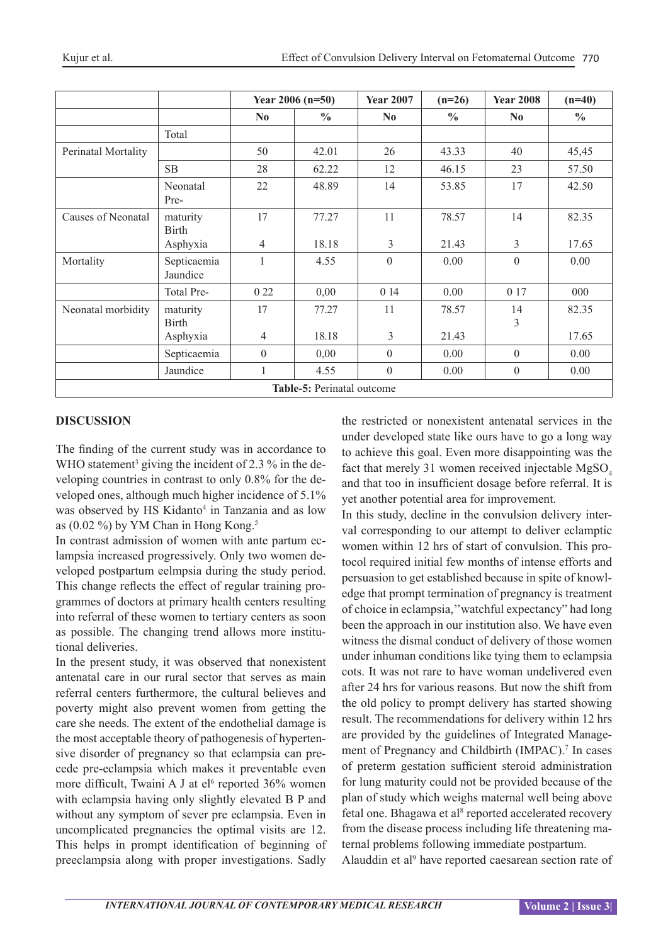| Kujur et al. |  |  |
|--------------|--|--|

|                            |                          | Year $2006$ (n=50) |               | <b>Year 2007</b> | $(n=26)$      | <b>Year 2008</b> | $(n=40)$      |  |
|----------------------------|--------------------------|--------------------|---------------|------------------|---------------|------------------|---------------|--|
|                            |                          | N <sub>0</sub>     | $\frac{0}{0}$ | N <sub>0</sub>   | $\frac{0}{0}$ | N <sub>0</sub>   | $\frac{0}{0}$ |  |
|                            | Total                    |                    |               |                  |               |                  |               |  |
| Perinatal Mortality        |                          | 50                 | 42.01         | 26               | 43.33         | 40               | 45,45         |  |
|                            | SB                       | 28                 | 62.22         | 12               | 46.15         | 23               | 57.50         |  |
|                            | Neonatal<br>Pre-         | 22                 | 48.89         | 14               | 53.85         | 17               | 42.50         |  |
| Causes of Neonatal         | maturity<br><b>Birth</b> | 17                 | 77.27         | 11               | 78.57         | 14               | 82.35         |  |
|                            | Asphyxia                 | 4                  | 18.18         | 3                | 21.43         | 3                | 17.65         |  |
| Mortality                  | Septicaemia<br>Jaundice  | 1                  | 4.55          | $\theta$         | 0.00          | $\mathbf{0}$     | 0.00          |  |
|                            | Total Pre-               | 0 2 2              | 0,00          | 0 14             | 0.00          | 0 17             | 000           |  |
| Neonatal morbidity         | maturity<br><b>Birth</b> | 17                 | 77.27         | 11               | 78.57         | 14<br>3          | 82.35         |  |
|                            | Asphyxia                 | $\overline{4}$     | 18.18         | $\overline{3}$   | 21.43         |                  | 17.65         |  |
|                            | Septicaemia              | $\theta$           | 0,00          | $\theta$         | 0.00          | $\theta$         | 0.00          |  |
|                            | Jaundice                 | 1                  | 4.55          | $\theta$         | 0.00          | $\boldsymbol{0}$ | 0.00          |  |
| Table-5: Perinatal outcome |                          |                    |               |                  |               |                  |               |  |

## **DISCUSSION**

The finding of the current study was in accordance to WHO statement<sup>3</sup> giving the incident of 2.3  $\%$  in the developing countries in contrast to only 0.8% for the developed ones, although much higher incidence of 5.1% was observed by HS Kidanto<sup>4</sup> in Tanzania and as low as  $(0.02\%)$  by YM Chan in Hong Kong.<sup>5</sup>

In contrast admission of women with ante partum eclampsia increased progressively. Only two women developed postpartum eelmpsia during the study period. This change reflects the effect of regular training programmes of doctors at primary health centers resulting into referral of these women to tertiary centers as soon as possible. The changing trend allows more institutional deliveries.

In the present study, it was observed that nonexistent antenatal care in our rural sector that serves as main referral centers furthermore, the cultural believes and poverty might also prevent women from getting the care she needs. The extent of the endothelial damage is the most acceptable theory of pathogenesis of hypertensive disorder of pregnancy so that eclampsia can precede pre-eclampsia which makes it preventable even more difficult, Twaini A J at  $el<sup>6</sup>$  reported 36% women with eclampsia having only slightly elevated B P and without any symptom of sever pre eclampsia. Even in uncomplicated pregnancies the optimal visits are 12. This helps in prompt identification of beginning of preeclampsia along with proper investigations. Sadly

the restricted or nonexistent antenatal services in the under developed state like ours have to go a long way to achieve this goal. Even more disappointing was the fact that merely 31 women received injectable  $MgSO<sub>4</sub>$ and that too in insufficient dosage before referral. It is yet another potential area for improvement.

In this study, decline in the convulsion delivery interval corresponding to our attempt to deliver eclamptic women within 12 hrs of start of convulsion. This protocol required initial few months of intense efforts and persuasion to get established because in spite of knowledge that prompt termination of pregnancy is treatment of choice in eclampsia,''watchful expectancy" had long been the approach in our institution also. We have even witness the dismal conduct of delivery of those women under inhuman conditions like tying them to eclampsia cots. It was not rare to have woman undelivered even after 24 hrs for various reasons. But now the shift from the old policy to prompt delivery has started showing result. The recommendations for delivery within 12 hrs are provided by the guidelines of Integrated Management of Pregnancy and Childbirth (IMPAC).<sup>7</sup> In cases of preterm gestation sufficient steroid administration for lung maturity could not be provided because of the plan of study which weighs maternal well being above fetal one. Bhagawa et al<sup>8</sup> reported accelerated recovery from the disease process including life threatening maternal problems following immediate postpartum. Alauddin et al<sup>9</sup> have reported caesarean section rate of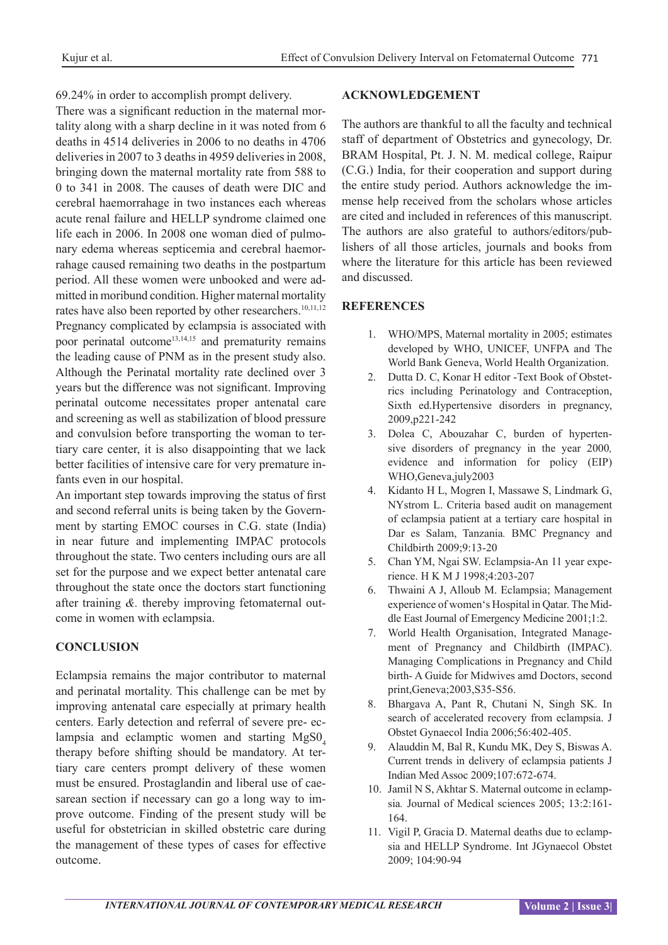69.24% in order to accomplish prompt delivery.

There was a significant reduction in the maternal mortality along with a sharp decline in it was noted from 6 deaths in 4514 deliveries in 2006 to no deaths in 4706 deliveries in 2007 to 3 deaths in 4959 deliveries in 2008, bringing down the maternal mortality rate from 588 to 0 to 341 in 2008. The causes of death were DIC and cerebral haemorrahage in two instances each whereas acute renal failure and HELLP syndrome claimed one life each in 2006. In 2008 one woman died of pulmonary edema whereas septicemia and cerebral haemorrahage caused remaining two deaths in the postpartum period. All these women were unbooked and were admitted in moribund condition. Higher maternal mortality rates have also been reported by other researchers.<sup>10,11,12</sup> Pregnancy complicated by eclampsia is associated with poor perinatal outcome<sup>13,14,15</sup> and prematurity remains the leading cause of PNM as in the present study also. Although the Perinatal mortality rate declined over 3 years but the difference was not significant. Improving perinatal outcome necessitates proper antenatal care and screening as well as stabilization of blood pressure and convulsion before transporting the woman to tertiary care center, it is also disappointing that we lack better facilities of intensive care for very premature infants even in our hospital.

An important step towards improving the status of first and second referral units is being taken by the Government by starting EMOC courses in C.G. state (India) in near future and implementing IMPAC protocols throughout the state. Two centers including ours are all set for the purpose and we expect better antenatal care throughout the state once the doctors start functioning after training *&.* thereby improving fetomaternal outcome in women with eclampsia.

## **CONCLUSION**

Eclampsia remains the major contributor to maternal and perinatal mortality. This challenge can be met by improving antenatal care especially at primary health centers. Early detection and referral of severe pre- eclampsia and eclamptic women and starting  $MgSO<sub>4</sub>$ therapy before shifting should be mandatory. At tertiary care centers prompt delivery of these women must be ensured. Prostaglandin and liberal use of caesarean section if necessary can go a long way to improve outcome. Finding of the present study will be useful for obstetrician in skilled obstetric care during the management of these types of cases for effective outcome.

#### **ACKNOWLEDGEMENT**

The authors are thankful to all the faculty and technical staff of department of Obstetrics and gynecology, Dr. BRAM Hospital, Pt. J. N. M. medical college, Raipur (C.G.) India, for their cooperation and support during the entire study period. Authors acknowledge the immense help received from the scholars whose articles are cited and included in references of this manuscript. The authors are also grateful to authors/editors/publishers of all those articles, journals and books from where the literature for this article has been reviewed and discussed.

## **REFERENCES**

- 1. WHO/MPS, Maternal mortality in 2005; estimates developed by WHO, UNICEF, UNFPA and The World Bank Geneva, World Health Organization.
- 2. Dutta D. C, Konar H editor -Text Book of Obstetrics including Perinatology and Contraception, Sixth ed.Hypertensive disorders in pregnancy, 2009,p221-242
- 3. Dolea C, Abouzahar C, burden of hypertensive disorders of pregnancy in the year 2000*,*  evidence and information for policy (EIP) WHO,Geneva,july2003
- 4. Kidanto H L, Mogren I, Massawe S, Lindmark G, NYstrom L. Criteria based audit on management of eclampsia patient at a tertiary care hospital in Dar es Salam, Tanzania*.* BMC Pregnancy and Childbirth 2009;9:13-20
- 5. Chan YM, Ngai SW. Eclampsia-An 11 year experience. H K M J 1998;4:203-207
- 6. Thwaini A J, Alloub M. Eclampsia; Management experience of women's Hospital in Qatar. The Middle East Journal of Emergency Medicine 2001;1:2.
- 7. World Health Organisation, Integrated Management of Pregnancy and Childbirth (IMPAC). Managing Complications in Pregnancy and Child birth- A Guide for Midwives amd Doctors, second print,Geneva;2003,S35-S56.
- 8. Bhargava A, Pant R, Chutani N, Singh SK. In search of accelerated recovery from eclampsia. J Obstet Gynaecol India 2006;56:402-405.
- 9. Alauddin M, Bal R, Kundu MK, Dey S, Biswas A. Current trends in delivery of eclampsia patients J Indian Med Assoc 2009;107:672-674.
- 10. Jamil N S, Akhtar S. Maternal outcome in eclampsia*.* Journal of Medical sciences 2005; 13:2:161- 164.
- 11. Vigil P, Gracia D. Maternal deaths due to eclampsia and HELLP Syndrome. Int JGynaecol Obstet 2009; 104:90-94